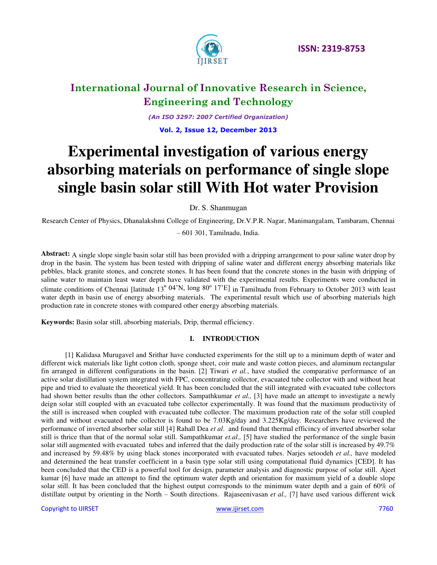

*(An ISO 3297: 2007 Certified Organization)*  **Vol. 2, Issue 12, December 2013**

**Experimental investigation of various energy absorbing materials on performance of single slope single basin solar still With Hot water Provision** 

Dr. S. Shanmugan

Research Center of Physics, Dhanalakshmi College of Engineering, Dr.V.P.R. Nagar, Manimangalam, Tambaram, Chennai

– 601 301, Tamilnadu, India.

**Abstract:** A single slope single basin solar still has been provided with a dripping arrangement to pour saline water drop by drop in the basin. The system has been tested with dripping of saline water and different energy absorbing materials like pebbles, black granite stones, and concrete stones. It has been found that the concrete stones in the basin with dripping of saline water to maintain least water depth have validated with the experimental results. Experiments were conducted in climate conditions of Chennai [latitude 13º 04'N, long 80º 17'E] in Tamilnadu from February to October 2013 with least water depth in basin use of energy absorbing materials. The experimental result which use of absorbing materials high production rate in concrete stones with compared other energy absorbing materials.

**Keywords:** Basin solar still, absorbing materials, Drip, thermal efficiency.

### **I. INTRODUCTION**

[1] Kalidasa Murugavel and Srithar have conducted experiments for the still up to a minimum depth of water and different wick materials like light cotton cloth, sponge sheet, coir mate and waste cotton pieces, and aluminum rectangular fin arranged in different configurations in the basin. [2] Tiwari *et al.*, have studied the comparative performance of an active solar distillation system integrated with FPC, concentrating collector, evacuated tube collector with and without heat pipe and tried to evaluate the theoretical yield. It has been concluded that the still integrated with evacuated tube collectors had shown better results than the other collectors. Sampathkumar *et al.,* [3] have made an attempt to investigate a newly deign solar still coupled with an evacuated tube collector experimentally. It was found that the maximum productivity of the still is increased when coupled with evacuated tube collector. The maximum production rate of the solar still coupled with and without evacuated tube collector is found to be 7.03Kg/day and 3.225Kg/day. Researchers have reviewed the performance of inverted absorber solar still [4] Rahall Dea *et al*. and found that thermal efficincy of inverted absorber solar still is thrice than that of the normal solar still. Sampathkumar *et.al.,* [5] have studied the performance of the single basin solar still augmented with evacuated tubes and inferred that the daily production rate of the solar still is increased by 49.7% and increased by 59.48% by using black stones incorporated with evacuated tubes. Narjes setoodeh *et al.,* have modeled and determined the heat transfer coefficient in a basin type solar still using computational fluid dynamics [CED]. It has been concluded that the CED is a powerful tool for design, parameter analysis and diagnostic purpose of solar still. Ajeet kumar [6] have made an attempt to find the optimum water depth and orientation for maximum yield of a double slope solar still. It has been concluded that the highest output corresponds to the minimum water depth and a gain of 60% of distillate output by orienting in the North – South directions. Rajaseenivasan *et al.,* [7] have used various different wick

Copyright to IJIRSET [www.ijirset.com](http://www.ijirset.com/) 7760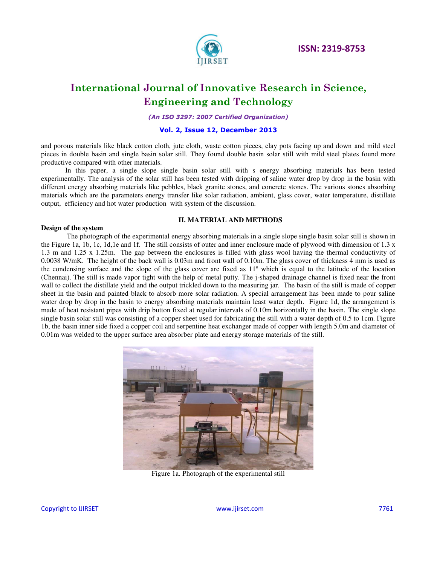

*(An ISO 3297: 2007 Certified Organization)* 

**Vol. 2, Issue 12, December 2013**

and porous materials like black cotton cloth, jute cloth, waste cotton pieces, clay pots facing up and down and mild steel pieces in double basin and single basin solar still. They found double basin solar still with mild steel plates found more productive compared with other materials.

In this paper, a single slope single basin solar still with s energy absorbing materials has been tested experimentally. The analysis of the solar still has been tested with dripping of saline water drop by drop in the basin with different energy absorbing materials like pebbles, black granite stones, and concrete stones. The various stones absorbing materials which are the parameters energy transfer like solar radiation, ambient, glass cover, water temperature, distillate output, efficiency and hot water production with system of the discussion.

### **II. MATERIAL AND METHODS**

#### **Design of the system**

The photograph of the experimental energy absorbing materials in a single slope single basin solar still is shown in the Figure 1a, 1b, 1c, 1d,1e and 1f. The still consists of outer and inner enclosure made of plywood with dimension of 1.3 x 1.3 m and 1.25 x 1.25m. The gap between the enclosures is filled with glass wool having the thermal conductivity of 0.0038 W/mK. The height of the back wall is 0.03m and front wall of 0.10m. The glass cover of thickness 4 mm is used as the condensing surface and the slope of the glass cover are fixed as 11º which is equal to the latitude of the location (Chennai). The still is made vapor tight with the help of metal putty. The j-shaped drainage channel is fixed near the front wall to collect the distillate yield and the output trickled down to the measuring jar. The basin of the still is made of copper sheet in the basin and painted black to absorb more solar radiation. A special arrangement has been made to pour saline water drop by drop in the basin to energy absorbing materials maintain least water depth. Figure 1d, the arrangement is made of heat resistant pipes with drip button fixed at regular intervals of 0.10m horizontally in the basin. The single slope single basin solar still was consisting of a copper sheet used for fabricating the still with a water depth of 0.5 to 1cm. Figure 1b, the basin inner side fixed a copper coil and serpentine heat exchanger made of copper with length 5.0m and diameter of 0.01m was welded to the upper surface area absorber plate and energy storage materials of the still.



Figure 1a. Photograph of the experimental still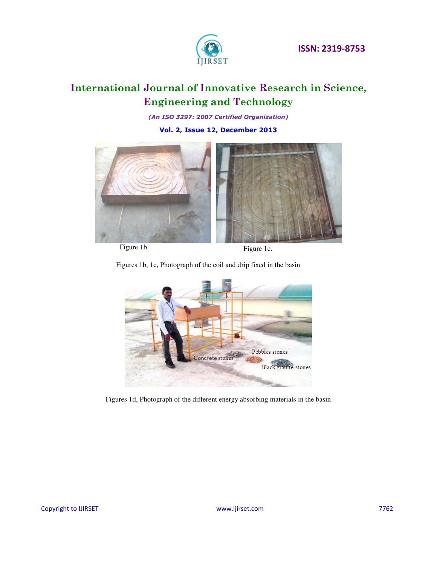

*(An ISO 3297: 2007 Certified Organization)* 

**Vol. 2, Issue 12, December 2013**



Figure 1b. Figure 1c.

Figures 1b, 1c, Photograph of the coil and drip fixed in the basin



Figures 1d, Photograph of the different energy absorbing materials in the basin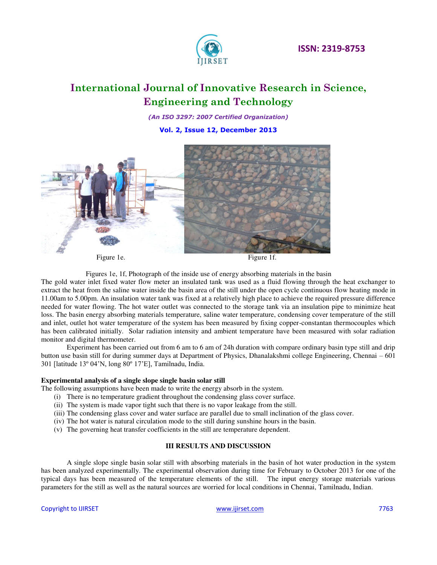

*(An ISO 3297: 2007 Certified Organization)* 

**Vol. 2, Issue 12, December 2013**



Figures 1e, 1f, Photograph of the inside use of energy absorbing materials in the basin

The gold water inlet fixed water flow meter an insulated tank was used as a fluid flowing through the heat exchanger to extract the heat from the saline water inside the basin area of the still under the open cycle continuous flow heating mode in 11.00am to 5.00pm. An insulation water tank was fixed at a relatively high place to achieve the required pressure difference needed for water flowing. The hot water outlet was connected to the storage tank via an insulation pipe to minimize heat loss. The basin energy absorbing materials temperature, saline water temperature, condensing cover temperature of the still and inlet, outlet hot water temperature of the system has been measured by fixing copper-constantan thermocouples which has been calibrated initially. Solar radiation intensity and ambient temperature have been measured with solar radiation monitor and digital thermometer.

Experiment has been carried out from 6 am to 6 am of 24h duration with compare ordinary basin type still and drip button use basin still for during summer days at Department of Physics, Dhanalakshmi college Engineering, Chennai – 601 301 [latitude 13º 04'N, long 80º 17'E], Tamilnadu, India.

#### **Experimental analysis of a single slope single basin solar still**

The following assumptions have been made to write the energy absorb in the system.

- (i) There is no temperature gradient throughout the condensing glass cover surface.
- (ii) The system is made vapor tight such that there is no vapor leakage from the still.
- (iii) The condensing glass cover and water surface are parallel due to small inclination of the glass cover.
- (iv) The hot water is natural circulation mode to the still during sunshine hours in the basin.
- (v) The governing heat transfer coefficients in the still are temperature dependent.

#### **III RESULTS AND DISCUSSION**

A single slope single basin solar still with absorbing materials in the basin of hot water production in the system has been analyzed experimentally. The experimental observation during time for February to October 2013 for one of the typical days has been measured of the temperature elements of the still. The input energy storage materials various parameters for the still as well as the natural sources are worried for local conditions in Chennai, Tamilnadu, Indian.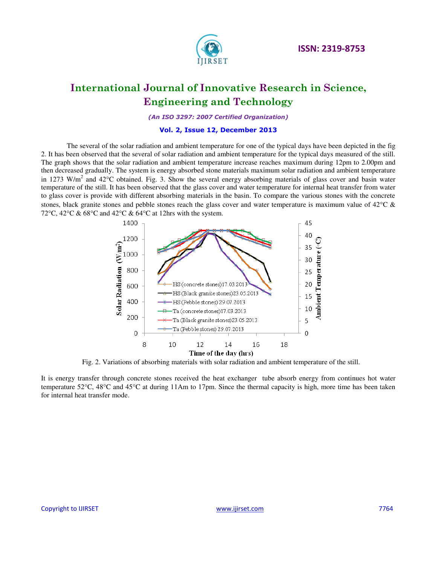

*(An ISO 3297: 2007 Certified Organization)* 

### **Vol. 2, Issue 12, December 2013**

The several of the solar radiation and ambient temperature for one of the typical days have been depicted in the fig 2. It has been observed that the several of solar radiation and ambient temperature for the typical days measured of the still. The graph shows that the solar radiation and ambient temperature increase reaches maximum during 12pm to 2.00pm and then decreased gradually. The system is energy absorbed stone materials maximum solar radiation and ambient temperature in 1273 W/m<sup>2</sup> and 42°C obtained. Fig. 3. Show the several energy absorbing materials of glass cover and basin water temperature of the still. It has been observed that the glass cover and water temperature for internal heat transfer from water to glass cover is provide with different absorbing materials in the basin. To compare the various stones with the concrete stones, black granite stones and pebble stones reach the glass cover and water temperature is maximum value of  $42^{\circ}$ C & 72°C, 42°C & 68°C and 42°C & 64°C at 12hrs with the system.



Fig. 2. Variations of absorbing materials with solar radiation and ambient temperature of the still.

It is energy transfer through concrete stones received the heat exchanger tube absorb energy from continues hot water temperature 52 $\degree$ C, 48 $\degree$ C and 45 $\degree$ C at during 11Am to 17pm. Since the thermal capacity is high, more time has been taken for internal heat transfer mode.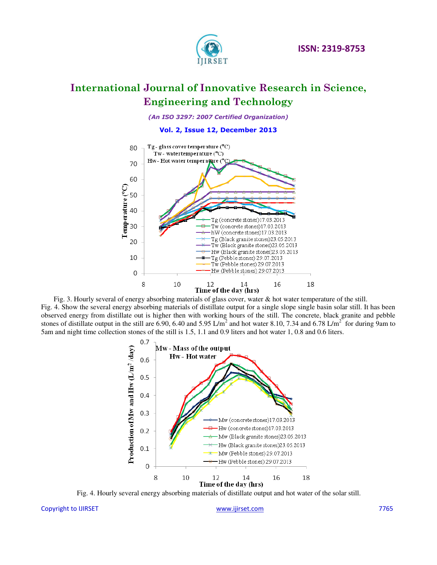

*(An ISO 3297: 2007 Certified Organization)* 

**Vol. 2, Issue 12, December 2013**



 Fig. 3. Hourly several of energy absorbing materials of glass cover, water & hot water temperature of the still. Fig. 4. Show the several energy absorbing materials of distillate output for a single slope single basin solar still. It has been observed energy from distillate out is higher then with working hours of the still. The concrete, black granite and pebble stones of distillate output in the still are 6.90, 6.40 and 5.95 L/m<sup>2</sup> and hot water 8.10, 7.34 and 6.78 L/m<sup>2</sup> for during 9am to 5am and night time collection stones of the still is 1.5, 1.1 and 0.9 liters and hot water 1, 0.8 and 0.6 liters.



Fig. 4. Hourly several energy absorbing materials of distillate output and hot water of the solar still.

#### Copyright to IJIRSET [www.ijirset.com](http://www.ijirset.com/) 7765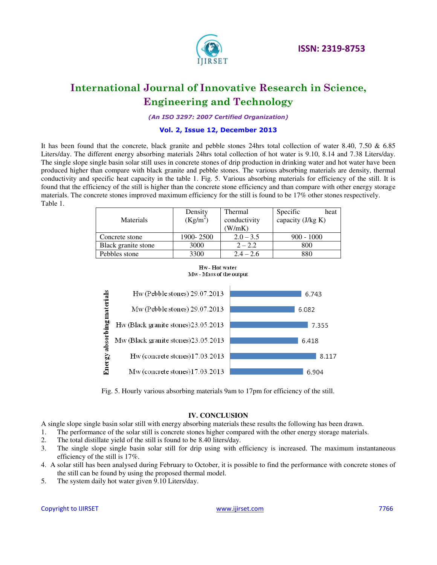

*(An ISO 3297: 2007 Certified Organization)* 

### **Vol. 2, Issue 12, December 2013**

It has been found that the concrete, black granite and pebble stones 24hrs total collection of water 8.40, 7.50 & 6.85 Liters/day. The different energy absorbing materials 24hrs total collection of hot water is 9.10, 8.14 and 7.38 Liters/day. The single slope single basin solar still uses in concrete stones of drip production in drinking water and hot water have been produced higher than compare with black granite and pebble stones. The various absorbing materials are density, thermal conductivity and specific heat capacity in the table 1. Fig. 5. Various absorbing materials for efficiency of the still. It is found that the efficiency of the still is higher than the concrete stone efficiency and than compare with other energy storage materials. The concrete stones improved maximum efficiency for the still is found to be 17% other stones respectively. Table 1.

| <b>Materials</b>    | Density<br>$(Kg/m^2)$ | Thermal<br>conductivity<br>W/mK) | Specific<br>heat<br>capacity (J/kg K) |
|---------------------|-----------------------|----------------------------------|---------------------------------------|
| Concrete stone      | 1900-2500             | $2.0 - 3.5$                      | $900 - 1000$                          |
| Black granite stone | 3000                  | $2 - 2.2$                        | 800                                   |
| Pebbles stone       | 3300                  | $2.4 - 2.6$                      | 880                                   |





Fig. 5. Hourly various absorbing materials 9am to 17pm for efficiency of the still.

#### **IV. CONCLUSION**

A single slope single basin solar still with energy absorbing materials these results the following has been drawn.

- 1. The performance of the solar still is concrete stones higher compared with the other energy storage materials.<br>2. The total distillate yield of the still is found to be 8.40 liters/day.
- 2. The total distillate yield of the still is found to be 8.40 liters/day.
- 3. The single slope single basin solar still for drip using with efficiency is increased. The maximum instantaneous efficiency of the still is 17%.
- 4. A solar still has been analysed during February to October, it is possible to find the performance with concrete stones of the still can be found by using the proposed thermal model.
- 5. The system daily hot water given 9.10 Liters/day.

Copyright to IJIRSET [www.ijirset.com](http://www.ijirset.com/) 7766